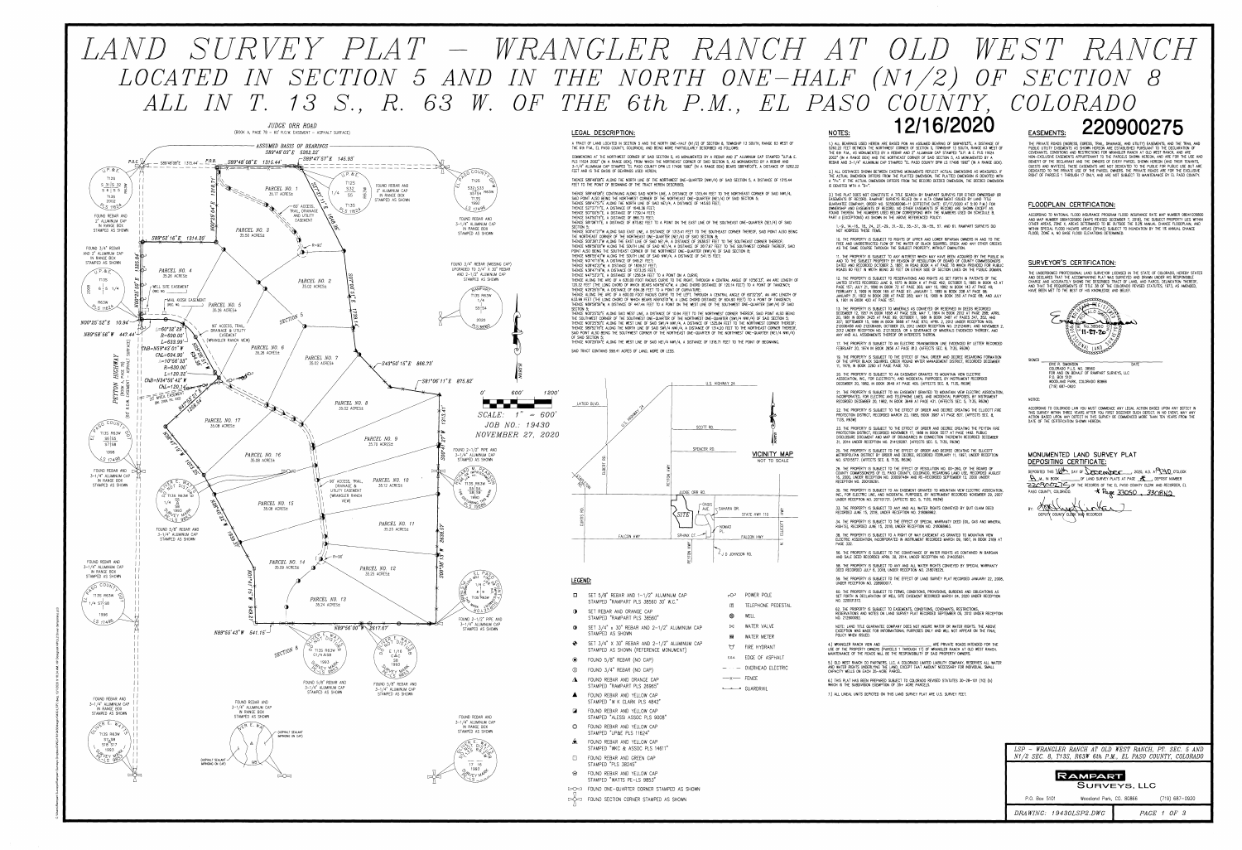

# LAND SURVEY PLAT – WRANGLER RANCH AT OLD WEST RANCH LOCATED IN SECTION 5 AND IN THE NORTH ONE-HALF (N1/2) OF SECTION 8 ALL IN T. 13 S., R. 63 W. OF THE 6th P.M., EL PASO COUNTY, COLORADO 12/16/2020 220900275 EASEMENTS: NOTES: LEGAL DESCRIPTION:

**T12S** 

 $S32$   $S33$ 

**T13S** 

1992

 $517496$ 

FOUND REBAR AND

3-1/4" ALUMINUM CAP

IN RANGE BOX

STAMPED AS SHOWN

FOUND 3/4" REBAR (MISSING CAP)

UPGRADED TO 3/4" X 30" REBAR

AND 2-1/2" ALUMINUM CAP

STAMPED AS SHOWN

**RAMPART** 

T13S R63W

 $1/4$ 

 $S5:SA$ 

2020

 $SCALE:$ 

FOUND  $2-1/2$ " PIPE AND

3-1/4" ALUMINUM CAP

STAMPED AS SHOWN

 $R^2$  IMPRISSA)

 $\frac{$55}{$8} \frac{$4}{$59}$ 

1990

T13S R63W  $22$ 

T13S <sup>I</sup>R63W

OUND 2-1/2" PIPE AND

3-1/4" ALUMINUM CAP

STAMPED AS SHOWN

FOUND REBAR AND

3-1/4" ALUMINUM CAP

IN RANGE BOX

STAMPED AS SHOWN

17 16 1993

 $S5S4$  R63W

A TRACT OF LAND LOCATED IN SECTION 5 AND THE NORTH ONE-HALF (N1/2) OF SECTION 8, TOWNSHIP 13 SOUTH, RANGE 63 WEST OF THE 6th P.M., EL PASO COUNTY, COLORADO, AND BEING MORE PARTICULARLY DESCRIBED AS FOLLOWS

COMMENCING AT THE NORTHWEST CORNER OF SAID SECTION 5, AS MONUMENTED BY A REBAR AND 2" ALUMINUM CAP STAMPED "U.P.& E. PLS 11624 2002" (IN A RANGE BOX), FROM WHICH THE NORTHEAST CORNER OF SAID SECTION 5, AS MONUMENTED BY A REBAR AND 3-1/4" ALUMINUM CAP STAMPED "EL PASO COUNTY DPW LS 17496 1992" (IN A RANGE BOX) BEARS S89'48'03"E, A DISTANCE OF 5262.22 FEET AND IS THE BASIS OF BEARINGS USED HEREIN;

THENCE S89'48'08"E ALONG THE NORTH LINE OF THE NORTHWEST ONE-QUARTER (NW1/4) OF SAID SECTION 5, A DISTANCE OF 1315.44 FEET TO THE POINT OF BEGINNING OF THE TRACT HEREIN DESCRIBED:

THENCE S89'48'08"E CONTINUING ALONG SAID NORTH LINE, A DISTANCE OF 1315.44 FEET TO THE NORTHEAST CORNER OF SAID NW1/4, SAID POINT ALSO BEING THE NORTHWEST CORNER OF THE NORTHEAST ONE-QUARTER (NE1/4) OF SAID SECTION 5; THENCE S89'47'57"E ALONG THE NORTH LINE OF SAID NE1/4, A DISTANCE OF 145.93 FEET; THENCE S27'27'11"E, A DISTANCE OF 1648.36 FEET;

THENCE S07'00'51"E, A DISTANCE OF 1739.14 FEET: THENCE S43'50'15"E, A DISTANCE OF 866.73 FEET;

THENCE S81'06'11"E, A DISTANCE OF 875.82 FEET TO A POINT ON THE EAST LINE OF THE SOUTHEAST ONE-QUARTER (SE1/4) OF SAID SECTION 5: THENCE SO0'41'27"W ALONG SAID EAST LINE. A DISTANCE OF 1313.41 FEET TO THE SOUTHEAST CORNER THEREOF, SAID POINT ALSO BEING

THE NORTHEAST CORNER OF THE NORTHEAST ONE-QUARTER (NE1/4) OF SAID SECTION 8; THENCE SOO'38'13"W ALONG THE EAST LINE OF SAID NE1/4, A DISTANCE OF 2638.57 FEET TO THE SOUTHEAST CORNER THEREOF; THENCE N89'56'00"W ALONG THE SOUTH LINE OF SAID NE1/4, A DISTANCE OF 2617.67 FEET TO THE SOUTHWEST CORNER THEREOF, SAID POINT ALSO BEING THE SOUTHEAST CORNER OF THE NORTHWEST ONE-QUARTER (NW1/4) OF SAID SECTION 8: THENCE N89'55'43"W ALONG THE SOUTH LINE OF SAID NW1/4, A DISTANCE OF 541.15 FEET;

THENCE NO1'41'15"W, A DISTANCE OF 949.21 FEET: THENCE N28'40'22"W. A DISTANCE OF 1839.37 FEET:

THENCE N38'47'19"W. A DISTANCE OF 1073.25 FEET

THENCE N47'53'21"E, A DISTANCE OF 1256.54 FEET TO A POINT ON A CURVE; THENCE ALONG THE ARC OF A 630.00 FOOT RADIUS CURVE TO THE RIGHT, THROUGH A CENTRAL ANGLE OF 10°56'33", AN ARC LENGTH OF 120.32 FEET (THE LONG CHORD OF WHICH BEARS N34'56'42"W, A LONG CHORD DISTANCE OF 120.14 FEET) TO A POINT OF TANGENCY; THENCE N29'26'51"W, A DISTANCE OF 694.38 FEET TO A POINT OF CURVATURE;

THENCE ALONG THE ARC OF A 600.00 FOOT RADIUS CURVE TO THE LEFT, THROUGH A CENTRAL ANGLE OF 60°32'29", AN ARC LENGTH OF 633.99 FEET (THE LONG CHORD OF WHICH BEARS N59'43'01"W, A LONG CHORD DISTANCE OF 604.90 FEET) TO A POINT OF TANGENCY; THENCE N89'58'56"W, A DISTANCE OF 447.44 FEET TO A POINT ON THE WEST LINE OF THE SOUTHWEST ONE-QUARTER (SW1/4) OF SAID SECTION 5:

THENCE NOO'25'52"E ALONG SAID WEST LINE, A DISTANCE OF 10.94 FEET TO THE NORTHWEST CORNER THEREOF, SAID POINT ALSO BEING THE SOUTHWEST CORNER OF THE SOUTHWEST ONE-QUARTER OF THE NORTHWEST ONE-QUARTER (SW1/4 NW1/4) OF SAID SECTION 5; THENCE NOO'25'50"E ALONG THE WEST LINE OF SAID SW1/4 NW1/4, A DISTANCE OF 1325.84 FEET TO THE NORTHWEST CORNER THEREOF; THENCE S89'52'16"E ALONG THE NORTH LINE OF SAID SW1/4 NW1/4, A DISTANCE OF 1314.20 FEET TO THE NORTHEAST CORNER THEREOF, SAID POINT ALSO BEING THE SOUTHWEST CORNER OF THE NORTHEAST ONE-QUARTER OF THE NORTHWEST ONE-QUARTER (NE1/4 NW1/4) OF SAID SECTION 5: THENCE NO0'29'04"E ALONG THE WEST LINE OF SAID NE1/4 NW1/4, A DISTANCE OF 1318.71 FEET TO THE POINT OF BEGINNING.

SAID TRACT CONTAINS 598.41 ACRES OF LAND, MORE OR LESS.



co POWER POLE

WELL

 $\bowtie$  WATER VALVE

**MM** WATER METER

O FIRE HYDRANT

E.O.A. EDGE OF ASPHALT

 $-$  OVERHEAD ELECTRIC

 $-\times$  FENCE

 $\circledcirc$ 

T TELEPHONE PEDESTAL

# LEGEND:

*1200* 

 $1'' = 600$ 

JOB NO.: 19430

*NOVEMBER 27, 2020* 

- $\Box$  SET 5/8" REBAR AND 1-1/2" ALUMINUM CAP
- STAMPED "RAMPART PLS 38560 30' W.C."
- SET REBAR AND ORANGE CAP STAMPED "RAMPART PLS 38560"
- $\circledcirc$  SET 3/4" x 30" REBAR AND 2-1/2" ALUMINUM CAP STAMPED AS SHOWN
- $\bigoplus$  SET 3/4" X 30" REBAR AND 2-1/2" ALUMINUM CAP STAMPED AS SHOWN (REFERENCE MONUMENT)
- FOUND 5/8" REBAR (NO CAP)
- FOUND 3/4" REBAR (NO CAP)
- FOUND REBAR AND ORANGE CAP STAMPED "RAMPART PLS 26965"
- FOUND REBAR AND YELLOW CAP STAMPED "W K CLARK PLS 4842"
- FOUND REBAR AND YELLOW CAP  $\blacksquare$ STAMPED "ALESSI ASSOC PLS 9008"
- $\circ$ FOUND REBAR AND YELLOW CAP STAMPED "UP&E PLS 11624"
- FOUND REBAR AND YELLOW CAP STAMPED "WKC & ASSOC PLS 14611"
- FOUND REBAR AND GREEN CAP 88 B
- STAMPED "PLS 38245" FOUND REBAR AND YELLOW CAP  $\bigoplus$
- STAMPED "WATTS PE-LS 9853"
- DOCI FOUND ONE-QUARTER CORNER STAMPED AS SHOWN
- DO FOUND SECTION CORNER STAMPED AS SHOWN

IS DENOTED WITH A "D=".

NOT ADDRESS THESE ITEMS.

21. THE PROPERTY IS SUBJECT TO AN EASEMENT GRANTED TO MOUNTAIN VIEW ELECTRIC ASSOCIATION, INCORPORATED, FOR ELECTRIC AND TELEPHONE LINES, AND INCIDENTAL PURPOSES, BY INSTRUMENT RECORDED DECEMBER 20, 1982, IN BOOK 3649 AT PAGE 431. (AFFECTS SEC. 5, T13S, R63W) 22. THE PROPERTY IS SUBJECT TO THE EFFECT OF ORDER AND DECREE CREATING THE ELLICOTT FIRE

T13S. R63W)

RECEPTION NO. 200109261.

RIGHTS), RECORDED JUNE 15, 2018, UNDER RECEPTION NO. 218068963. 38. THE PROPERTY IS SUBJECT TO A RIGHT OF WAY EASEMENT AS GRANTED TO MOUNTAIN VIEW ELECTRIC ASSOCIATION, INCORPORATED IN INSTRUMENT RECORDED MARCH 09, 1967, IN BOOK 2169 AT

56. THE PROPERTY IS SUBJECT TO THE CONVEYANCE OF WATER RIGHTS AS CONTAINED IN BARGAIN AND SALE DEED RECORDED APRIL 30, 2014, UNDER RECEPTION NO. 214035621. 58. THE PROPERTY IS SUBJECT TO ANY AND ALL WATER RIGHTS CONVEYED BY SPECIAL WARRANTY

DEED RECORDED JULY 6, 2018, UNDER RECEPTION NO. 218078225. 59. THE PROPERTY IS SUBJECT TO THE EFFECT OF LAND SURVEY PLAT RECORDED JANUARY 22, 2008, UNDER RECEPTION NO. 208900017.

60. THE PROPERTY IS SUBJECT TO TERMS, CONDITIONS, PROVISIONS, BURDENS AND OBLIGATIONS AS SET FORTH IN DECLARATION OF WELL SITE EASEMENT RECORDED MARCH 04, 2020 UNDER RECEPTION NO. 220031372.

62. THE PROPERTY IS SUBJECT TO EASEMENTS, CONDITIONS, COVENANTS, RESTRICTIONS, RESERVATIONS AND NOTES ON LAND SURVEY PLAT RECORDED SEPTEMBER 05, 2012 UNDER RECEPTION NO. 212900092

NOTE: LAND TITLE GUARANTEE COMPANY DOES NOT INSURE WATER OR WATER RIGHTS. THE ABOVE EXCEPTION WAS MADE FOR INFORMATIONAL PURPOSES ONLY AND WILL NOT APPEAR ON THE FINAL POLICY WHEN ISSUED 4.) WRANGLER RANCH VIEW AND ARE PRIVATE ROADS INTENDED FOR THE

AND WATER RIGHTS UNDERLYING THE LAND, EXCEPT THAT AMOUNT NECESSARY FOR INDIVIDUAL SMALL CAPACITY WELLS ON EACH 35-ACRE PARCEL.

1.) ALL BEARINGS USED HEREIN ARE BASED PON AN ASSUMED BEARING OF S89'48'03"E. A DISTANCE OF 5262.22 FEET BETWEEN THE NORTHWEST CORNER OF SECTION 5, TOWNSHIP 13 SOUTH, RANGE 63 WEST OF THE 6th P.M., AS MONUMENTED BY A REBAR AND 2" ALUMINUM CAP STAMPED "U.P. & E. PLS 11624 2002" (IN A RANGE BOX) AND THE NORTHEAST CORNER OF SAID SECTION 5, AS MONUMENTED BY A REBAR AND 3-1/4" ALUMINUM CAP STAMPED "EL PASO COUNTY DPW LS 17496 1992" (IN A RANGE BOX).

2.) ALL DISTANCES SHOWN BETWEEN EXISTING MONUMENTS REFLECT ACTUAL DIMENSIONS AS MEASURED. IF THE ACTUAL DIMENSION DIFFERS FROM THE PLATTED DIMENSION, THE PLATTED DIMENSION IS DENOTED WITH A "P=". IF THE ACTUAL DIMENSION DIFFERS FROM THE RECORD DEEDED DIMENSION, THE DEEDED DIMENSION

3.) THIS PLAT DOES NOT CONSTITUTE A TITLE SEARCH BY RAMPART SURVEYS FOR EITHER OWNERSHIP OR EASEMENTS OF RECORD. RAMPART SURVEYS RELIED ON A ALTA COMMITMENT ISSUED BY LAND TITLE GUARANTEE COMPANY, ORDER NO. SC55082096-11 (EFFECTIVE DATE: 07/17/2020 AT 5:00 P.M.) FOR OWNERSHIP AND EASEMENTS OF RECORD. NO OTHER EASEMENTS OF RECORD ARE SHOWN EXCEPT AS FOUND THEREIN. THE NUMBERS USED BELOW CORRESPOND WITH THE NUMBERS USED ON SCHEDULE B, PART II (EXCEPTIONS) AS SHOWN IN THE ABOVE REFERENCED POLICY:

1. -9., 14. -16., 18., 24., 27. -29., 31. -32., 35. -37., 39. -55., 57. AND 61. RAMPART SURVEYS DID 10. THE PROPERTY IS SUBJECT TO RIGHTS OF UPPER AND LOWER RIPARIAN OWNERS IN AND TO THE

FREE AND UNOBSTRUCTED FLOW OF THE WATER OF BLACK SQUIRREL CREEK AND ANY OTHER CREEKS AS THE SAME COURSE THROUGH THE SUBJECT PROPERTY, WITHOUT DIMINUTION. 11. THE PROPERTY IS SUBJECT TO ANY INTEREST WHICH MAY HAVE BEEN ACQUIRED BY THE PUBLIC IN AND TO THE SUBJECT PROPERTY BY REASON OF RESOLUTION OF BOARD OF COUNTY COMMISSIONERS

DATED AND RECORDED OCTOBER 3, 1887, IN ROAD BOOK A AT PAGE 78 WHICH PROVIDED FOR PUBLIC ROADS 60 FEET IN WIDTH BEING 30 FEET ON EITHER SIDE OF SECTION LINES ON THE PUBLIC DOMAIN. 12. THE PROPERTY IS SUBJECT TO RESERVATIONS AND RIGHTS AS SET FORTH IN PATENTS OF THE UNITED STATES RECORDED JUNE 9, 1875 IN BOOK K AT PAGE 492; OCTOBER 5, 1885 IN BOOK 43 AT PAGE 157; JULY 21, 1890 IN BOOK 72 AT PAGE 365; MAY 10, 1892 IN BOOK 143 AT PAGE 40;

FEBRUARY 3, 1909 IN BOOK 165 AT PAGE 97; JANUARY 7, 1899 IN BOOK 208 AT PAGE 98; JANUARY 31, 1902 IN BOOK 208 AT PAGE 283; MAY 16, 1908 IN BOOK 350 AT PAGE 68; AND JULY 9. 1901 IN ROOK 420 AT PAGE 157. 13. THE PROPERTY IS SUBJECT TO MINERALS AS CONVEYED OR RESERVED IN DEEDS RECORDED

DECEMBER 12, 1957 IN BOOK 1658 AT PAGE 539; MAY 7, 1964 IN BOOK 2012 AT PAGE 288; APRIL 20. 1981 IN BOOK 3425 AT PAGE 99: OCTOBER 1, 1981 IN BOOK 3487 AT PAGES 347, 352, AND 57: SEPTEMBER 15, 1989 IN BOOK 5668 AT PACE 870; APRIL 2, 2012 UNDER RECEPTION NOS. 212036458 AND 212036459; OCTOBER 23, 2012 UNDER RECEPTION NO. 212124691; AND NOVEMBER 2 2012 UNDER RECEPTION NO. 212130203; OR A SEVERANCE OF MINERALS EVIDENCED THEREBY, AND ANY AND ALL ASSIGNMENTS THEREOF OR INTERESTS THEREIN.

17. THE PROPERTY IS SUBJECT TO AN ELECTRIC TRANSMISSION LINE EVIDENCED BY LETTER RECORDED FEBRUARY 20, 1974 IN BOOK 2656 AT PAGE 813. (AFFECTS SEC. 8, T13S, R63W) 19. THE PROPERTY IS SUBJECT TO THE EFFECT OF FINAL ORDER AND DECREE REGARDING FORMATION

OF THE UPPER BLACK SQUIRREL CREEK ROUND WATER MANAGEMENT DISTRICT, RECORDED DECEMBER 11, 1979, IN BOOK 3260 AT PAGE PAGE 701.

20. THE PROPERTY IS SUBJECT TO AN EASEMENT GRANTED TO MOUNTAIN VIEW ELECTRIC ASSOCIATION, INC., FOR ELECTRICITY, AND INCIDENTAL PURPOSES, BY INSTRUMENT RECORDED DECEMBER 20, 1982, IN BOOK 3649 AT PAGE 405. (AFFECTS SEC. 8, T13S, R63W)

PROTECTION DISTRICT, RECORDED MARCH 23, 1985, BOOK 3987 AT PAGE 837. (AFFECTS SEC. 8, 23. THE PROPERTY IS SUBJECT TO THE EFFECT OF ORDER AND DECREE CREATING THE PEYTON FIRE PROTECTION DISTRICT. RECORDED NOVEMBER 17, 1988 IN BOOK 5577 AT PAGE 1492. PUBLIC

ASCLOSURE DOCUMENT AND MAP OF BOUNDARIES IN CONNECTION THEREWITH RECORDED DECEMBER 31, 2014 UNDER RECEPTION NO. 214120287. (AFFECTS SEC. 5, T13S, R63W)

25. THE PROPERTY IS SUBJECT TO THE EFFECT OF ORDER AND DECREE CREATING THE ELLICOTT METROPOLITAN DISTRICT BY ORDER AND DECREE, RECORDED FEBRUARY 11, 1997, UNDER RECEPTION NO. 97015577. (AFFECTS SEC. 8, T13S, R63W)

26. THE PROPERTY IS SUBJECT TO THE EFFECT OF RESOLUTION NO. 00-260, OF THE BOARD OF COUNTY COMMISSIONERS OF EL PASO COUNTY, COLORADO, REGARDING LAND USE, RECORDED AUGUST 16, 2000, UNDER RECEPTION NO. 200097484 AND RE-RECORDED SEPTEMBER 12, 2000 UNDER

30. THE PROPERTY IS SUBJECT TO AN EASEMENT GRANTED TO MOUNTAIN VIEW ELECTRIC ASSOCIATION, INC.. FOR ELECTRIC LINE. AND INCIDENTAL PURPOSES, BY INSTRUMENT RECORDED NOVEMBER 29, 2007 UNDER RECEPTION NO. 207151731. (AFFECTS SEC. 5, T13S, R63W)

33. THE PROPERTY IS SUBJECT TO ANY AND ALL WATER RIGHTS CONVEYED BY QUIT CLAIM DEED RECORDED JUNE 15, 2018, UNDER RECEPTION NO. 218068962. 34. THE PROPERTY IS SUBJECT TO THE EFFECT OF SPECIAL WARRANTY DEED (OIL, GAS AND MINERAL

USE OF THE PROPERTY OWNERS (PARCELS 1 THROUGH 17) OF WRANGLER RANCH AT OLD WEST RANCH. MAINTENANCE OF THE ROADS WILL BE THE RESPONSIBILITY OF SAID PROPERTY OWNERS. 5.) OLD WEST RANCH CO PARTNERS, LLC, A COLORADO LIMITED LIABILITY COMPANY, RESERVES ALL WATER

6.) THIS PLAT HAS BEEN PREPARED SUBJECT TO COLORADO REVISED STATUTES 30-28-101 (10) (b) WHICH IS THE SUBDIVISION EXEMPTION OF 35+ ACRE PARCELS. 7.) ALL LINEAL UNITS DEPICTED ON THIS LAND SURVEY PLAT ARE U.S. SURVEY FEET.

THE PRIVATE ROADS (INGRESS, EGRESS, TRAIL, DRAINAGE, AND UTILITY) EASEMENTS, AND THE TRAIL AND PUBLIC UTILITY EASEMENTS AS SHOWN HEREON ARE ESTABLISHED PURSUANT TO THE DECLARATION OF COVENANTS, CONDITIONS AND RESTRICTIONS FOR WRANGLER RANCH AT OLD WEST RANCH, AND ARE NON-EXCLUSIVE EASEMENTS APPURTENANT TO THE PARCELS SHOWN HEREON, AND ARE FOR THE USE AND BENEFIT OF THE DECLARANT AND THE OWNERS OF EVERY PARCEL SHOWN HEREON (AND THEIR TENANTS, GUESTS AND INVITEES). THESE EASEMENTS ARE NOT DEDICATED TO THE PUBLIC FOR PUBLIC USE BUT ARE DEDICATED TO THE PRIVATE USE OF THE PARCEL OWNERS. THE PRIVATE ROADS ARE FOR THE EXCLUSIVE RIGHT OF PARCELS 1 THROUGH 17 ONLY, AND ARE NOT SUBJECT TO MAINTENANCE BY EL PASO COUNTY.

# FLOODPLAIN CERTIFICATION:

ACCORDING TO NATIONAL FLOOD INSURANCE PROGRAM FLOOD INSURANCE RATE MAP NUMBER 08041C0580G AND MAP NUMBER 08041C0590G (MAPS REVISED DECEMBER 7, 2018), THE SUBJECT PROPERTY LIES WITHIN OTHER AREAS, ZONE X, AREAS DETERMINED TO BE OUTSIDE THE 0.2% ANNUAL CHANCE FLOODPLAIN, AND WITHIN SPECIAL FLOOD HAZARD AREAS (SFHAS) SUBJECT TO INUNDATION BY THE 1% ANNUAL CHANCE FLOOD, ZONE A. NO BASE FLOOD ELEVATIONS DETERMINED.

# SURVEYOR'S CERTIFICATION

THE UNDERSIGNED PROFESSIONAL LAND SURVEYOR LICENSED IN THE STATE OF COLORADO. HEREBY STATES AND DECLARES THAT THE ACCOMPANYING PLAT WAS SURVEYED AND DRAWN LINDER HIS RESPONSIBLE CHARGE AND ACCURATELY SHOWS THE DESCRIBED TRACT OF LAND. AND PARCEL DELINEATION THEREOF. AND THAT THE REQUIREMENTS OF TITLE 38 OF THE COLORADO REVISED STATUTES, 1973, AS AMENDED, HAVE BEEN MET TO THE BEST OF HIS KNOWLEDGE AND BELIEF.



ERIC R. SIMONSON COLORADO P.L.S. NO. 38560 FOR AND ON BEHALF OF RAMPART SURVEYS, LLC P.O. BOX 5101 WOODLAND PARK, COLORADO 80866 (719) 687-0920

ACCORDING TO COLORADO LAW YOU MUST COMMENCE ANY LEGAL ACTION BASED UPON ANY DEFECT IN THIS SURVEY WITHIN THREE YEARS AFTER YOU FIRST DISCOVER SUCH DEFECT. IN NO EVENT, MAY ANY ACTION BASED UPON ANY DEFECT IN THIS SURVEY BE COMMENCED MORE THAN TEN YEARS FROM THE DATE OF THE CERTIFICATION SHOWN HEREON.

# MONUMENTED LAND SURVEY PLAT DEPOSITING CERTIFICATE:

NOTICE:

DEPOSITED THIS **IGHT** DAY OF **SECEMBER** 2020, A.D. AT 140 O'CLOCK  $\mathbf{A}$  M., IN BOOK \_\_\_\_\_\_\_\_\_\_\_\_\_\_OF LAND SURVEY PLATS AT PAGE  $\mathbf{X}$  DEPOSIT NUMBER 220900274 OF THE RECORDS OF THE EL PASO COUNTY CLERK AND RECORDER, EL \* Page 33050, 3308N2 PASO COUNTY, COLORADO.

DEPUTY COUNTY CLERK AND RECORDER

LSP - WRANGLER RANCH AT OLD WEST RANCH, PT. SEC. 5 AND N1/2 SEC. 8, T13S, R63W 6th P.M., EL PASO COUNTY, COLORADO RAMPART SURVEYS, LLC (719) 687-0920 P.O. Box 5101 Woodland Park, CO. 80866

DRAWING: 19430LSP2.DWG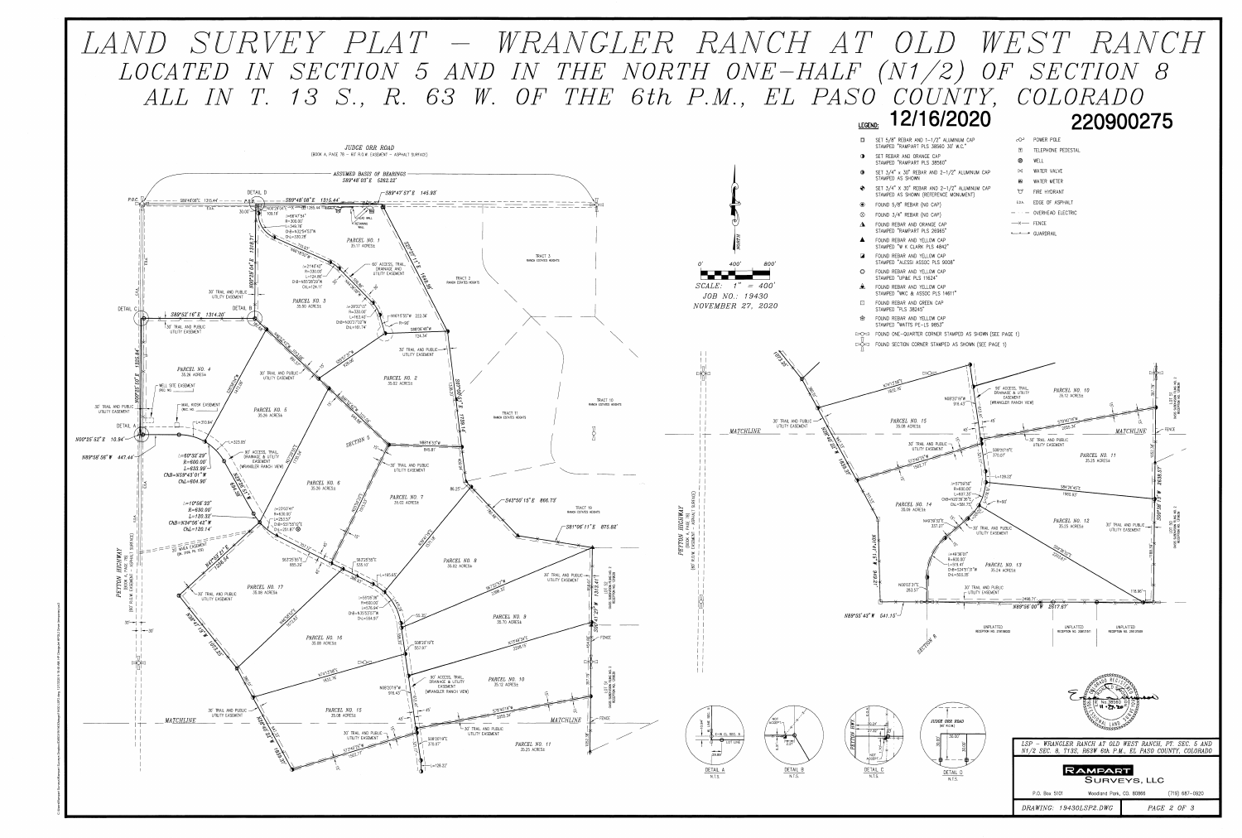